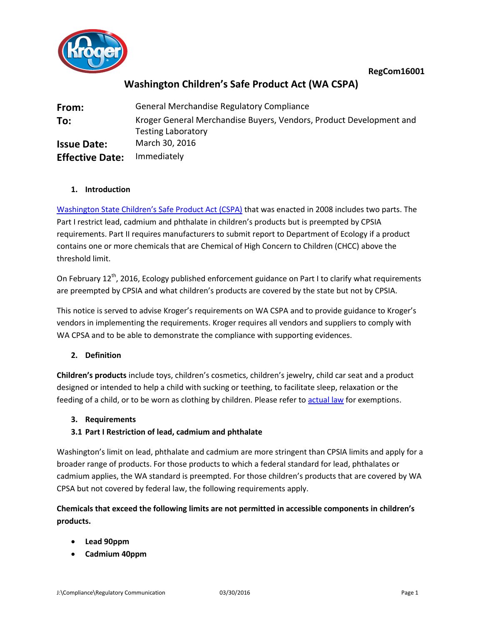



# **Washington Children's Safe Product Act (WA CSPA)**

| From:                  | <b>General Merchandise Regulatory Compliance</b>                                                 |
|------------------------|--------------------------------------------------------------------------------------------------|
| To:                    | Kroger General Merchandise Buyers, Vendors, Product Development and<br><b>Testing Laboratory</b> |
| <b>Issue Date:</b>     | March 30, 2016                                                                                   |
| <b>Effective Date:</b> | Immediately                                                                                      |

### **1. Introduction**

Washington [State Children's Safe Product Act](http://apps.leg.wa.gov/RCW/default.aspx?cite=70.240) (CSPA) that was enacted in 2008 includes two parts. The Part I restrict lead, cadmium and phthalate in children's products but is preempted by CPSIA requirements. Part II requires manufacturers to submit report to Department of Ecology if a product contains one or more chemicals that are Chemical of High Concern to Children (CHCC) above the threshold limit.

On February  $12^{th}$ , 2016, Ecology published enforcement guidance on Part I to clarify what requirements are preempted by CPSIA and what children's products are covered by the state but not by CPSIA.

This notice is served to advise Kroger's requirements on WA CSPA and to provide guidance to Kroger's vendors in implementing the requirements. Kroger requires all vendors and suppliers to comply with WA CPSA and to be able to demonstrate the compliance with supporting evidences.

# **2. Definition**

**Children's products** include toys, children's cosmetics, children's jewelry, child car seat and a product designed or intended to help a child with sucking or teething, to facilitate sleep, relaxation or the feeding of a child, or to be worn as clothing by children. Please refer t[o actual law](http://apps.leg.wa.gov/RCW/default.aspx?cite=70.240) for exemptions.

#### **3. Requirements**

# **3.1 Part I Restriction of lead, cadmium and phthalate**

Washington's limit on lead, phthalate and cadmium are more stringent than CPSIA limits and apply for a broader range of products. For those products to which a federal standard for lead, phthalates or cadmium applies, the WA standard is preempted. For those children's products that are covered by WA CPSA but not covered by federal law, the following requirements apply.

# **Chemicals that exceed the following limits are not permitted in accessible components in children's products.**

- **Lead 90ppm**
- **Cadmium 40ppm**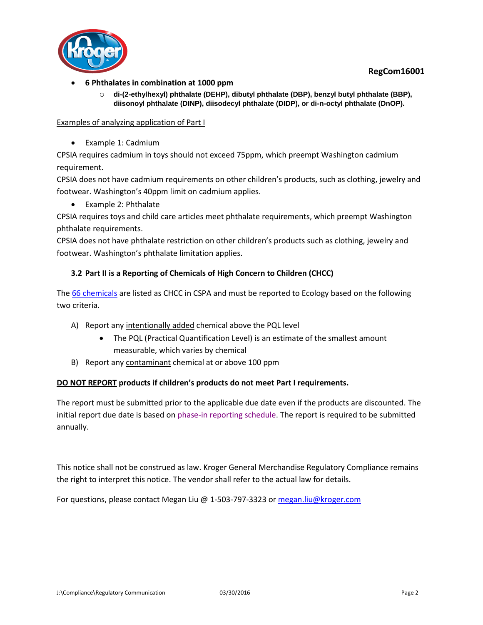**RegCom16001**



- **6 Phthalates in combination at 1000 ppm** 
	- o **di-(2-ethylhexyl) phthalate (DEHP), dibutyl phthalate (DBP), benzyl butyl phthalate (BBP), diisonoyl phthalate (DINP), diisodecyl phthalate (DIDP), or di-n-octyl phthalate (DnOP).**

Examples of analyzing application of Part I

• Example 1: Cadmium

CPSIA requires cadmium in toys should not exceed 75ppm, which preempt Washington cadmium requirement.

CPSIA does not have cadmium requirements on other children's products, such as clothing, jewelry and footwear. Washington's 40ppm limit on cadmium applies.

Example 2: Phthalate

CPSIA requires toys and child care articles meet phthalate requirements, which preempt Washington phthalate requirements.

CPSIA does not have phthalate restriction on other children's products such as clothing, jewelry and footwear. Washington's phthalate limitation applies.

# **3.2 Part II is a Reporting of Chemicals of High Concern to Children (CHCC)**

The [66 chemicals](http://www.ecy.wa.gov/programs/hwtr/RTT/cspa/chcc.html) are listed as CHCC in CSPA and must be reported to Ecology based on the following two criteria.

- A) Report any intentionally added chemical above the PQL level
	- The PQL (Practical Quantification Level) is an estimate of the smallest amount measurable, which varies by chemical
- B) Report any contaminant chemical at or above 100 ppm

#### **DO NOT REPORT products if children's products do not meet Part I requirements.**

The report must be submitted prior to the applicable due date even if the products are discounted. The initial report due date is based on [phase-in reporting schedule.](http://www.ecy.wa.gov/programs/hwtr/rtt/cspa/pdf/cspaguide_phasein.pdf) The report is required to be submitted annually.

This notice shall not be construed as law. Kroger General Merchandise Regulatory Compliance remains the right to interpret this notice. The vendor shall refer to the actual law for details.

For questions, please contact Megan Liu @ 1-503-797-3323 o[r megan.liu@kroger.com](mailto:megan.liu@kroger.com)